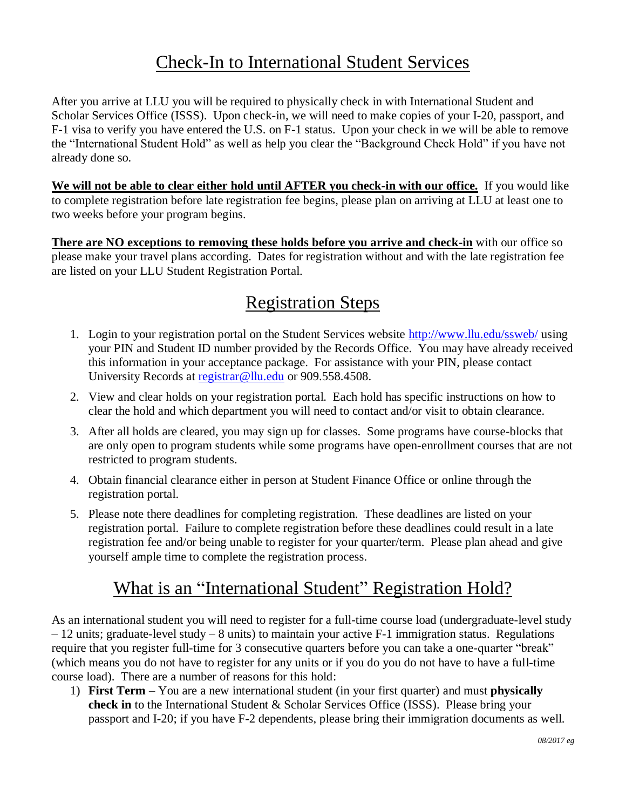## Check-In to International Student Services

After you arrive at LLU you will be required to physically check in with International Student and Scholar Services Office (ISSS). Upon check-in, we will need to make copies of your I-20, passport, and F-1 visa to verify you have entered the U.S. on F-1 status. Upon your check in we will be able to remove the "International Student Hold" as well as help you clear the "Background Check Hold" if you have not already done so.

**We will not be able to clear either hold until AFTER you check-in with our office.** If you would like to complete registration before late registration fee begins, please plan on arriving at LLU at least one to two weeks before your program begins.

**There are NO exceptions to removing these holds before you arrive and check-in** with our office so please make your travel plans according. Dates for registration without and with the late registration fee are listed on your LLU Student Registration Portal.

## Registration Steps

- 1. Login to your registration portal on the Student Services website<http://www.llu.edu/ssweb/> using your PIN and Student ID number provided by the Records Office. You may have already received this information in your acceptance package. For assistance with your PIN, please contact University Records at [registrar@llu.edu](mailto:registrar@llu.edu) or 909.558.4508.
- 2. View and clear holds on your registration portal. Each hold has specific instructions on how to clear the hold and which department you will need to contact and/or visit to obtain clearance.
- 3. After all holds are cleared, you may sign up for classes. Some programs have course-blocks that are only open to program students while some programs have open-enrollment courses that are not restricted to program students.
- 4. Obtain financial clearance either in person at Student Finance Office or online through the registration portal.
- 5. Please note there deadlines for completing registration. These deadlines are listed on your registration portal. Failure to complete registration before these deadlines could result in a late registration fee and/or being unable to register for your quarter/term. Please plan ahead and give yourself ample time to complete the registration process.

## What is an "International Student" Registration Hold?

As an international student you will need to register for a full-time course load (undergraduate-level study  $-12$  units; graduate-level study  $-8$  units) to maintain your active F-1 immigration status. Regulations require that you register full-time for 3 consecutive quarters before you can take a one-quarter "break" (which means you do not have to register for any units or if you do you do not have to have a full-time course load). There are a number of reasons for this hold:

1) **First Term** – You are a new international student (in your first quarter) and must **physically check in** to the International Student & Scholar Services Office (ISSS). Please bring your passport and I-20; if you have F-2 dependents, please bring their immigration documents as well.